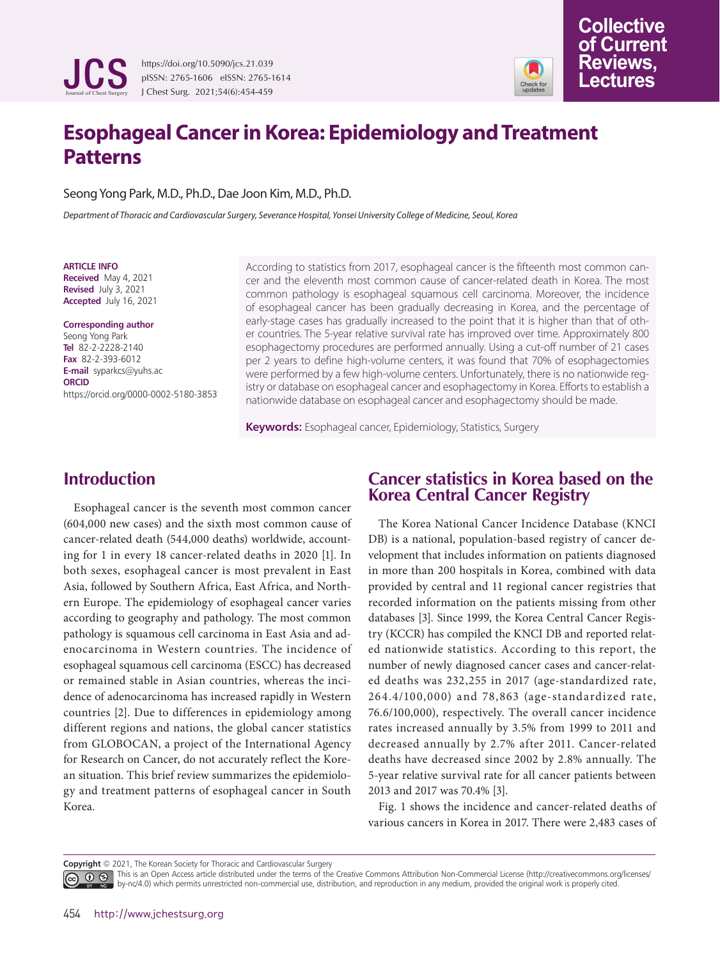

https://doi.org/10.5090/jcs.21.039 pISSN: 2765-1606 eISSN: 2765-1614 J Chest Surg. 2021;54(6):454-459



**Collective of Current Reviews, Lectures** 

Seong Yong Park, M.D., Ph.D., Dae Joon Kim, M.D., Ph.D.

*Department of Thoracic and Cardiovascular Surgery, Severance Hospital, Yonsei University College of Medicine, Seoul, Korea*

#### **ARTICLE INFO**

**Received** May 4, 2021 **Revised** July 3, 2021 **Accepted** July 16, 2021

#### **Corresponding author** Seong Yong Park **Tel** 82-2-2228-2140 **Fax** 82-2-393-6012

**E-mail** syparkcs@yuhs.ac **ORCID** https://orcid.org/0000-0002-5180-3853 According to statistics from 2017, esophageal cancer is the fifteenth most common cancer and the eleventh most common cause of cancer-related death in Korea. The most common pathology is esophageal squamous cell carcinoma. Moreover, the incidence of esophageal cancer has been gradually decreasing in Korea, and the percentage of early-stage cases has gradually increased to the point that it is higher than that of other countries. The 5-year relative survival rate has improved over time. Approximately 800 esophagectomy procedures are performed annually. Using a cut-off number of 21 cases per 2 years to define high-volume centers, it was found that 70% of esophagectomies were performed by a few high-volume centers. Unfortunately, there is no nationwide registry or database on esophageal cancer and esophagectomy in Korea. Efforts to establish a nationwide database on esophageal cancer and esophagectomy should be made.

**Keywords:** Esophageal cancer, Epidemiology, Statistics, Surgery

# **Introduction**

Esophageal cancer is the seventh most common cancer (604,000 new cases) and the sixth most common cause of cancer-related death (544,000 deaths) worldwide, accounting for 1 in every 18 cancer-related deaths in 2020 [1]. In both sexes, esophageal cancer is most prevalent in East Asia, followed by Southern Africa, East Africa, and Northern Europe. The epidemiology of esophageal cancer varies according to geography and pathology. The most common pathology is squamous cell carcinoma in East Asia and adenocarcinoma in Western countries. The incidence of esophageal squamous cell carcinoma (ESCC) has decreased or remained stable in Asian countries, whereas the incidence of adenocarcinoma has increased rapidly in Western countries [2]. Due to differences in epidemiology among different regions and nations, the global cancer statistics from GLOBOCAN, a project of the International Agency for Research on Cancer, do not accurately reflect the Korean situation. This brief review summarizes the epidemiology and treatment patterns of esophageal cancer in South Korea.

### **Cancer statistics in Korea based on the Korea Central Cancer Registry**

The Korea National Cancer Incidence Database (KNCI DB) is a national, population-based registry of cancer development that includes information on patients diagnosed in more than 200 hospitals in Korea, combined with data provided by central and 11 regional cancer registries that recorded information on the patients missing from other databases [3]. Since 1999, the Korea Central Cancer Registry (KCCR) has compiled the KNCI DB and reported related nationwide statistics. According to this report, the number of newly diagnosed cancer cases and cancer-related deaths was 232,255 in 2017 (age-standardized rate, 264.4/100,000) and 78,863 (age-standardized rate, 76.6/100,000), respectively. The overall cancer incidence rates increased annually by 3.5% from 1999 to 2011 and decreased annually by 2.7% after 2011. Cancer-related deaths have decreased since 2002 by 2.8% annually. The 5-year relative survival rate for all cancer patients between 2013 and 2017 was 70.4% [3].

Fig. 1 shows the incidence and cancer-related deaths of various cancers in Korea in 2017. There were 2,483 cases of

**Copyright** © 2021, The Korean Society for Thoracic and Cardiovascular Surgery

This is an Open Access article distributed under the terms of the Creative Commons Attribution Non-Commercial License (http://creativecommons.org/licenses/ by-nc/4.0) which permits unrestricted non-commercial use, distribution, and reproduction in any medium, provided the original work is properly cited.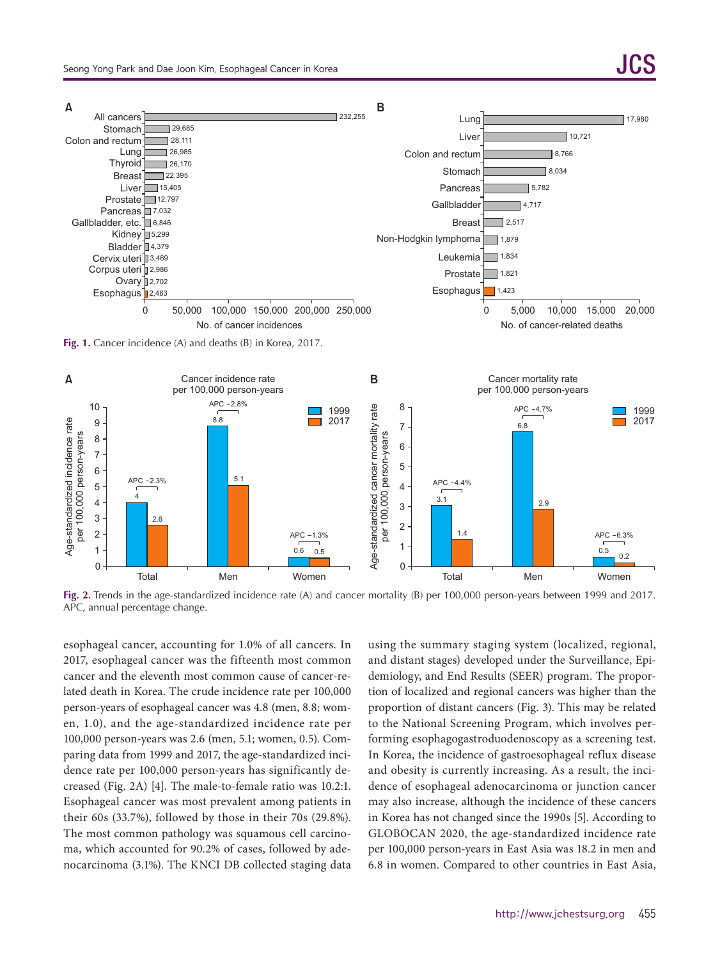

**Fig. 1.** Cancer incidence (A) and deaths (B) in Korea, 2017.



**Fig. 2.** Trends in the age-standardized incidence rate (A) and cancer mortality (B) per 100,000 person-years between 1999 and 2017. APC, annual percentage change.

esophageal cancer, accounting for 1.0% of all cancers. In 2017, esophageal cancer was the fifteenth most common cancer and the eleventh most common cause of cancer-related death in Korea. The crude incidence rate per 100,000 person-years of esophageal cancer was 4.8 (men, 8.8; women, 1.0), and the age-standardized incidence rate per 100,000 person-years was 2.6 (men, 5.1; women, 0.5). Comparing data from 1999 and 2017, the age-standardized incidence rate per 100,000 person-years has significantly decreased (Fig. 2A) [4]. The male-to-female ratio was 10.2:1. Esophageal cancer was most prevalent among patients in their 60s (33.7%), followed by those in their 70s (29.8%). The most common pathology was squamous cell carcinoma, which accounted for 90.2% of cases, followed by adenocarcinoma (3.1%). The KNCI DB collected staging data using the summary staging system (localized, regional, and distant stages) developed under the Surveillance, Epidemiology, and End Results (SEER) program. The proportion of localized and regional cancers was higher than the proportion of distant cancers (Fig. 3). This may be related to the National Screening Program, which involves performing esophagogastroduodenoscopy as a screening test. In Korea, the incidence of gastroesophageal reflux disease and obesity is currently increasing. As a result, the incidence of esophageal adenocarcinoma or junction cancer may also increase, although the incidence of these cancers in Korea has not changed since the 1990s [5]. According to GLOBOCAN 2020, the age-standardized incidence rate per 100,000 person-years in East Asia was 18.2 in men and 6.8 in women. Compared to other countries in East Asia,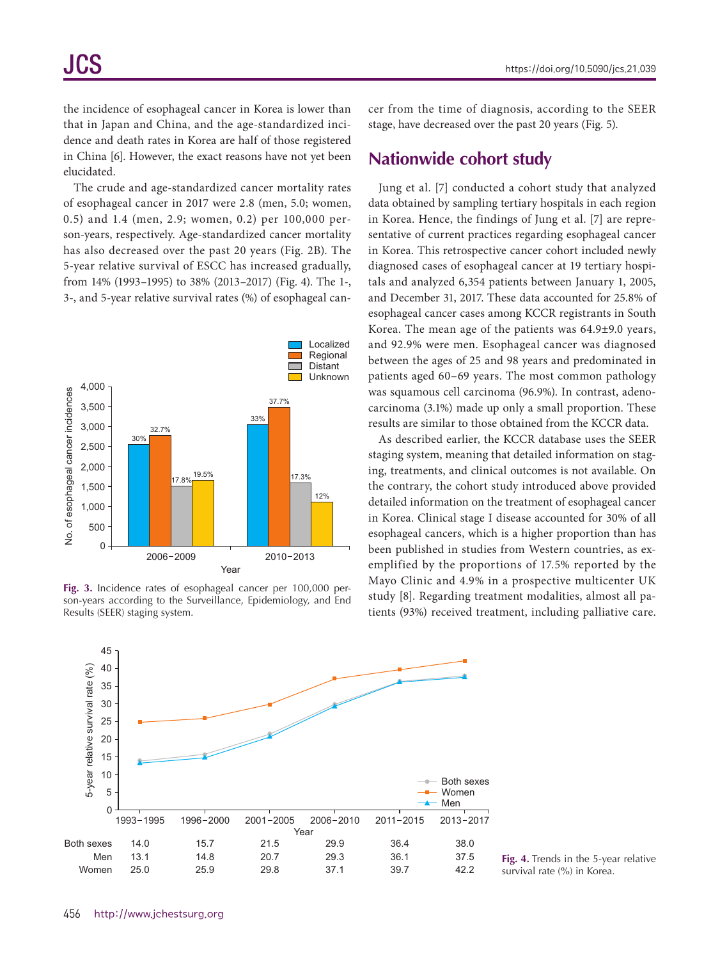the incidence of esophageal cancer in Korea is lower than that in Japan and China, and the age-standardized incidence and death rates in Korea are half of those registered in China [6]. However, the exact reasons have not yet been elucidated.

The crude and age-standardized cancer mortality rates of esophageal cancer in 2017 were 2.8 (men, 5.0; women, 0.5) and 1.4 (men, 2.9; women, 0.2) per 100,000 person-years, respectively. Age-standardized cancer mortality has also decreased over the past 20 years (Fig. 2B). The 5-year relative survival of ESCC has increased gradually, from 14% (1993–1995) to 38% (2013–2017) (Fig. 4). The 1-, 3-, and 5-year relative survival rates (%) of esophageal can-



**Fig. 3.** Incidence rates of esophageal cancer per 100,000 person-years according to the Surveillance, Epidemiology, and End Results (SEER) staging system.

cer from the time of diagnosis, according to the SEER stage, have decreased over the past 20 years (Fig. 5).

#### **Nationwide cohort study**

Jung et al. [7] conducted a cohort study that analyzed data obtained by sampling tertiary hospitals in each region in Korea. Hence, the findings of Jung et al. [7] are representative of current practices regarding esophageal cancer in Korea. This retrospective cancer cohort included newly diagnosed cases of esophageal cancer at 19 tertiary hospitals and analyzed 6,354 patients between January 1, 2005, and December 31, 2017. These data accounted for 25.8% of esophageal cancer cases among KCCR registrants in South Korea. The mean age of the patients was 64.9±9.0 years, and 92.9% were men. Esophageal cancer was diagnosed between the ages of 25 and 98 years and predominated in patients aged 60–69 years. The most common pathology was squamous cell carcinoma (96.9%). In contrast, adenocarcinoma (3.1%) made up only a small proportion. These results are similar to those obtained from the KCCR data.

As described earlier, the KCCR database uses the SEER staging system, meaning that detailed information on staging, treatments, and clinical outcomes is not available. On the contrary, the cohort study introduced above provided detailed information on the treatment of esophageal cancer in Korea. Clinical stage I disease accounted for 30% of all esophageal cancers, which is a higher proportion than has been published in studies from Western countries, as exemplified by the proportions of 17.5% reported by the Mayo Clinic and 4.9% in a prospective multicenter UK study [8]. Regarding treatment modalities, almost all patients (93%) received treatment, including palliative care.



**Fig. 4.** Trends in the 5-year relative survival rate (%) in Korea.

https://doi.org/10.5090/jcs.21.039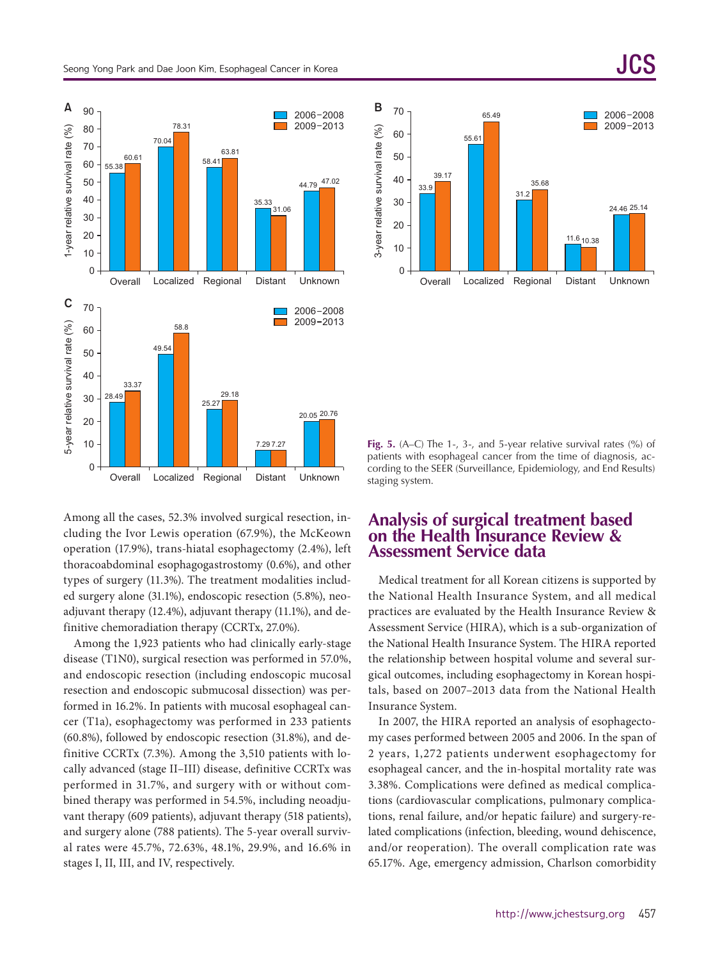

Among all the cases, 52.3% involved surgical resection, including the Ivor Lewis operation (67.9%), the McKeown operation (17.9%), trans-hiatal esophagectomy (2.4%), left thoracoabdominal esophagogastrostomy (0.6%), and other types of surgery (11.3%). The treatment modalities included surgery alone (31.1%), endoscopic resection (5.8%), neoadjuvant therapy (12.4%), adjuvant therapy (11.1%), and definitive chemoradiation therapy (CCRTx, 27.0%).

Among the 1,923 patients who had clinically early-stage disease (T1N0), surgical resection was performed in 57.0%, and endoscopic resection (including endoscopic mucosal resection and endoscopic submucosal dissection) was performed in 16.2%. In patients with mucosal esophageal cancer (T1a), esophagectomy was performed in 233 patients (60.8%), followed by endoscopic resection (31.8%), and definitive CCRTx (7.3%). Among the 3,510 patients with locally advanced (stage II–III) disease, definitive CCRTx was performed in 31.7%, and surgery with or without combined therapy was performed in 54.5%, including neoadjuvant therapy (609 patients), adjuvant therapy (518 patients), and surgery alone (788 patients). The 5-year overall survival rates were 45.7%, 72.63%, 48.1%, 29.9%, and 16.6% in stages I, II, III, and IV, respectively.



**Fig. 5.** (A–C) The 1-, 3-, and 5-year relative survival rates (%) of patients with esophageal cancer from the time of diagnosis, according to the SEER (Surveillance, Epidemiology, and End Results) staging system.

### **Analysis of surgical treatment based on the Health Insurance Review & Assessment Service data**

Medical treatment for all Korean citizens is supported by the National Health Insurance System, and all medical practices are evaluated by the Health Insurance Review & Assessment Service (HIRA), which is a sub-organization of the National Health Insurance System. The HIRA reported the relationship between hospital volume and several surgical outcomes, including esophagectomy in Korean hospitals, based on 2007–2013 data from the National Health Insurance System.

In 2007, the HIRA reported an analysis of esophagectomy cases performed between 2005 and 2006. In the span of 2 years, 1,272 patients underwent esophagectomy for esophageal cancer, and the in-hospital mortality rate was 3.38%. Complications were defined as medical complications (cardiovascular complications, pulmonary complications, renal failure, and/or hepatic failure) and surgery-related complications (infection, bleeding, wound dehiscence, and/or reoperation). The overall complication rate was 65.17%. Age, emergency admission, Charlson comorbidity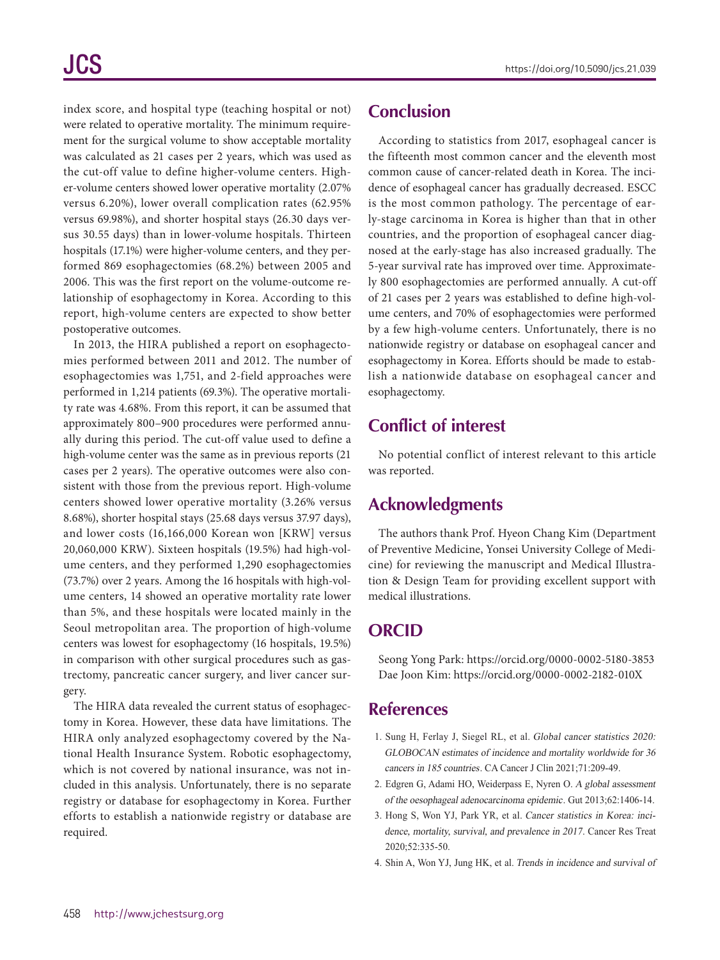index score, and hospital type (teaching hospital or not) were related to operative mortality. The minimum requirement for the surgical volume to show acceptable mortality was calculated as 21 cases per 2 years, which was used as the cut-off value to define higher-volume centers. Higher-volume centers showed lower operative mortality (2.07% versus 6.20%), lower overall complication rates (62.95% versus 69.98%), and shorter hospital stays (26.30 days versus 30.55 days) than in lower-volume hospitals. Thirteen hospitals (17.1%) were higher-volume centers, and they performed 869 esophagectomies (68.2%) between 2005 and 2006. This was the first report on the volume-outcome relationship of esophagectomy in Korea. According to this report, high-volume centers are expected to show better postoperative outcomes.

In 2013, the HIRA published a report on esophagectomies performed between 2011 and 2012. The number of esophagectomies was 1,751, and 2-field approaches were performed in 1,214 patients (69.3%). The operative mortality rate was 4.68%. From this report, it can be assumed that approximately 800–900 procedures were performed annually during this period. The cut-off value used to define a high-volume center was the same as in previous reports (21 cases per 2 years). The operative outcomes were also consistent with those from the previous report. High-volume centers showed lower operative mortality (3.26% versus 8.68%), shorter hospital stays (25.68 days versus 37.97 days), and lower costs (16,166,000 Korean won [KRW] versus 20,060,000 KRW). Sixteen hospitals (19.5%) had high-volume centers, and they performed 1,290 esophagectomies (73.7%) over 2 years. Among the 16 hospitals with high-volume centers, 14 showed an operative mortality rate lower than 5%, and these hospitals were located mainly in the Seoul metropolitan area. The proportion of high-volume centers was lowest for esophagectomy (16 hospitals, 19.5%) in comparison with other surgical procedures such as gastrectomy, pancreatic cancer surgery, and liver cancer surgery.

The HIRA data revealed the current status of esophagectomy in Korea. However, these data have limitations. The HIRA only analyzed esophagectomy covered by the National Health Insurance System. Robotic esophagectomy, which is not covered by national insurance, was not included in this analysis. Unfortunately, there is no separate registry or database for esophagectomy in Korea. Further efforts to establish a nationwide registry or database are required.

# **Conclusion**

According to statistics from 2017, esophageal cancer is the fifteenth most common cancer and the eleventh most common cause of cancer-related death in Korea. The incidence of esophageal cancer has gradually decreased. ESCC is the most common pathology. The percentage of early-stage carcinoma in Korea is higher than that in other countries, and the proportion of esophageal cancer diagnosed at the early-stage has also increased gradually. The 5-year survival rate has improved over time. Approximately 800 esophagectomies are performed annually. A cut-off of 21 cases per 2 years was established to define high-volume centers, and 70% of esophagectomies were performed by a few high-volume centers. Unfortunately, there is no nationwide registry or database on esophageal cancer and esophagectomy in Korea. Efforts should be made to establish a nationwide database on esophageal cancer and esophagectomy.

# **Conflict of interest**

No potential conflict of interest relevant to this article was reported.

# **Acknowledgments**

The authors thank Prof. Hyeon Chang Kim (Department of Preventive Medicine, Yonsei University College of Medicine) for reviewing the manuscript and Medical Illustration & Design Team for providing excellent support with medical illustrations.

## **ORCID**

Seong Yong Park: https://orcid.org/0000-0002-5180-3853 Dae Joon Kim: https://orcid.org/0000-0002-2182-010X

## **References**

- 1. Sung H, Ferlay J, Siegel RL, et al. Global cancer statistics 2020: GLOBOCAN estimates of incidence and mortality worldwide for 36 cancers in 185 countries. CA Cancer J Clin 2021;71:209-49.
- 2. Edgren G, Adami HO, Weiderpass E, Nyren O. A global assessment of the oesophageal adenocarcinoma epidemic. Gut 2013;62:1406-14.
- 3. Hong S, Won YJ, Park YR, et al. Cancer statistics in Korea: incidence, mortality, survival, and prevalence in 2017. Cancer Res Treat 2020;52:335-50.
- 4. Shin A, Won YJ, Jung HK, et al. Trends in incidence and survival of